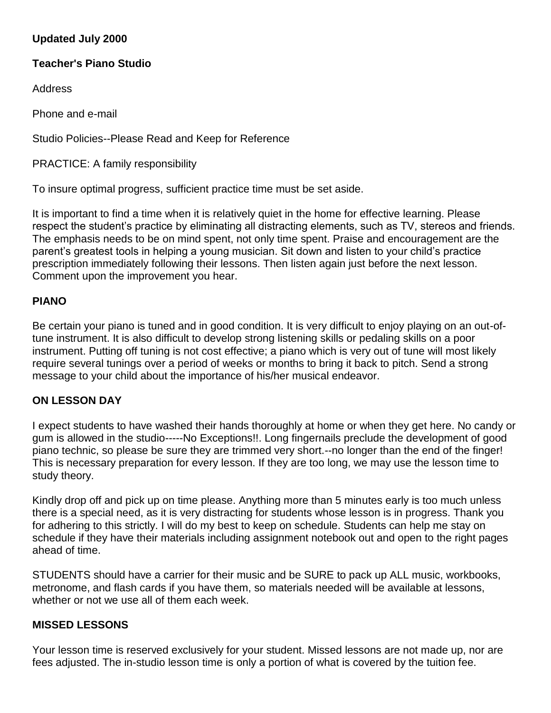# **Updated July 2000**

## **Teacher's Piano Studio**

Address

Phone and e-mail

Studio Policies--Please Read and Keep for Reference

PRACTICE: A family responsibility

To insure optimal progress, sufficient practice time must be set aside.

It is important to find a time when it is relatively quiet in the home for effective learning. Please respect the student's practice by eliminating all distracting elements, such as TV, stereos and friends. The emphasis needs to be on mind spent, not only time spent. Praise and encouragement are the parent's greatest tools in helping a young musician. Sit down and listen to your child's practice prescription immediately following their lessons. Then listen again just before the next lesson. Comment upon the improvement you hear.

### **PIANO**

Be certain your piano is tuned and in good condition. It is very difficult to enjoy playing on an out-oftune instrument. It is also difficult to develop strong listening skills or pedaling skills on a poor instrument. Putting off tuning is not cost effective; a piano which is very out of tune will most likely require several tunings over a period of weeks or months to bring it back to pitch. Send a strong message to your child about the importance of his/her musical endeavor.

### **ON LESSON DAY**

I expect students to have washed their hands thoroughly at home or when they get here. No candy or gum is allowed in the studio-----No Exceptions!!. Long fingernails preclude the development of good piano technic, so please be sure they are trimmed very short.--no longer than the end of the finger! This is necessary preparation for every lesson. If they are too long, we may use the lesson time to study theory.

Kindly drop off and pick up on time please. Anything more than 5 minutes early is too much unless there is a special need, as it is very distracting for students whose lesson is in progress. Thank you for adhering to this strictly. I will do my best to keep on schedule. Students can help me stay on schedule if they have their materials including assignment notebook out and open to the right pages ahead of time.

STUDENTS should have a carrier for their music and be SURE to pack up ALL music, workbooks, metronome, and flash cards if you have them, so materials needed will be available at lessons, whether or not we use all of them each week.

#### **MISSED LESSONS**

Your lesson time is reserved exclusively for your student. Missed lessons are not made up, nor are fees adjusted. The in-studio lesson time is only a portion of what is covered by the tuition fee.